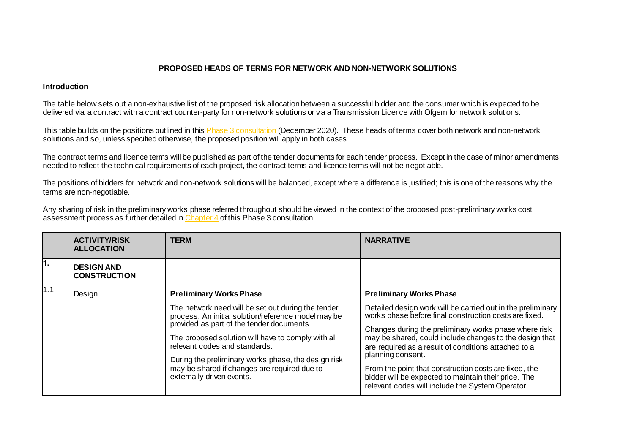## **PROPOSED HEADS OF TERMS FOR NETWORK AND NON-NETWORK SOLUTIONS**

## **Introduction**

The table below sets out a non-exhaustive list of the proposed risk allocation between a successful bidder and the consumer which is expected to be delivered via a contract with a contract counter-party for non-network solutions or via a Transmission Licence with Ofgem for network solutions.

This table builds on the positions outlined in thi[s Phase 3 consultation](https://www.nationalgrideso.com/document/181901/download) (December 2020). These heads of terms cover both network and non-network solutions and so, unless specified otherwise, the proposed position will apply in both cases.

The contract terms and licence terms will be published as part of the tender documents for each tender process. Except in the case of minor amendments needed to reflect the technical requirements of each project, the contract terms and licence terms will not be negotiable.

The positions of bidders for network and non-network solutions will be balanced, except where a difference is justified; this is one of the reasons why the terms are non-negotiable.

Any sharing of risk in the preliminary works phase referred throughout should be viewed in the context of the proposed post-preliminary works cost assessment process as further detailed i[n Chapter 4](https://www.nationalgrideso.com/document/181921/download) of this Phase 3 consultation.

|      | <b>ACTIVITY/RISK</b><br><b>ALLOCATION</b> | TERM                                                                                                                                                                                                                                                                                                                                                                              | <b>NARRATIVE</b>                                                                                                                                                                                                                                                                                                                                                                                                                                                                           |
|------|-------------------------------------------|-----------------------------------------------------------------------------------------------------------------------------------------------------------------------------------------------------------------------------------------------------------------------------------------------------------------------------------------------------------------------------------|--------------------------------------------------------------------------------------------------------------------------------------------------------------------------------------------------------------------------------------------------------------------------------------------------------------------------------------------------------------------------------------------------------------------------------------------------------------------------------------------|
| 1.   | <b>DESIGN AND</b><br><b>CONSTRUCTION</b>  |                                                                                                                                                                                                                                                                                                                                                                                   |                                                                                                                                                                                                                                                                                                                                                                                                                                                                                            |
| l1.1 | Design                                    | <b>Preliminary Works Phase</b>                                                                                                                                                                                                                                                                                                                                                    | <b>Preliminary Works Phase</b>                                                                                                                                                                                                                                                                                                                                                                                                                                                             |
|      |                                           | The network need will be set out during the tender<br>process. An initial solution/reference model may be<br>provided as part of the tender documents.<br>The proposed solution will have to comply with all<br>relevant codes and standards.<br>During the preliminary works phase, the design risk<br>may be shared if changes are required due to<br>externally driven events. | Detailed design work will be carried out in the preliminary<br>works phase before final construction costs are fixed.<br>Changes during the preliminary works phase where risk<br>may be shared, could include changes to the design that<br>are required as a result of conditions attached to a<br>planning consent.<br>From the point that construction costs are fixed, the<br>bidder will be expected to maintain their price. The<br>relevant codes will include the System Operator |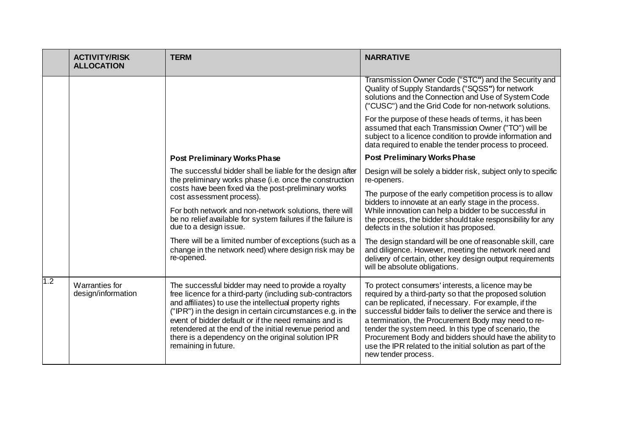|     | <b>ACTIVITY/RISK</b><br><b>ALLOCATION</b> | <b>TERM</b>                                                                                                                                                                                                                                                                                                                                                                                                                                 | <b>NARRATIVE</b>                                                                                                                                                                                                                                                                                                                                                                                                                                                                                    |
|-----|-------------------------------------------|---------------------------------------------------------------------------------------------------------------------------------------------------------------------------------------------------------------------------------------------------------------------------------------------------------------------------------------------------------------------------------------------------------------------------------------------|-----------------------------------------------------------------------------------------------------------------------------------------------------------------------------------------------------------------------------------------------------------------------------------------------------------------------------------------------------------------------------------------------------------------------------------------------------------------------------------------------------|
|     |                                           |                                                                                                                                                                                                                                                                                                                                                                                                                                             | Transmission Owner Code ("STC") and the Security and<br>Quality of Supply Standards ("SQSS") for network<br>solutions and the Connection and Use of System Code<br>("CUSC") and the Grid Code for non-network solutions.                                                                                                                                                                                                                                                                            |
|     |                                           |                                                                                                                                                                                                                                                                                                                                                                                                                                             | For the purpose of these heads of terms, it has been<br>assumed that each Transmission Owner ("TO") will be<br>subject to a licence condition to provide information and<br>data required to enable the tender process to proceed.                                                                                                                                                                                                                                                                  |
|     |                                           | <b>Post Preliminary Works Phase</b>                                                                                                                                                                                                                                                                                                                                                                                                         | <b>Post Preliminary Works Phase</b>                                                                                                                                                                                                                                                                                                                                                                                                                                                                 |
|     |                                           | The successful bidder shall be liable for the design after<br>the preliminary works phase (i.e. once the construction                                                                                                                                                                                                                                                                                                                       | Design will be solely a bidder risk, subject only to specific<br>re-openers.                                                                                                                                                                                                                                                                                                                                                                                                                        |
|     |                                           | costs have been fixed via the post-preliminary works<br>cost assessment process).                                                                                                                                                                                                                                                                                                                                                           | The purpose of the early competition process is to allow<br>bidders to innovate at an early stage in the process.                                                                                                                                                                                                                                                                                                                                                                                   |
|     |                                           | For both network and non-network solutions, there will<br>be no relief available for system failures if the failure is<br>due to a design issue.                                                                                                                                                                                                                                                                                            | While innovation can help a bidder to be successful in<br>the process, the bidder should take responsibility for any<br>defects in the solution it has proposed.                                                                                                                                                                                                                                                                                                                                    |
|     |                                           | There will be a limited number of exceptions (such as a<br>change in the network need) where design risk may be<br>re-opened.                                                                                                                                                                                                                                                                                                               | The design standard will be one of reasonable skill, care<br>and diligence. However, meeting the network need and<br>delivery of certain, other key design output requirements<br>will be absolute obligations.                                                                                                                                                                                                                                                                                     |
| 1.2 | Warranties for<br>design/information      | The successful bidder may need to provide a royalty<br>free licence for a third-party (including sub-contractors<br>and affiliates) to use the intellectual property rights<br>("IPR") in the design in certain circumstances e.g. in the<br>event of bidder default or if the need remains and is<br>retendered at the end of the initial revenue period and<br>there is a dependency on the original solution IPR<br>remaining in future. | To protect consumers' interests, a licence may be<br>required by a third-party so that the proposed solution<br>can be replicated, if necessary. For example, if the<br>successful bidder fails to deliver the service and there is<br>a termination, the Procurement Body may need to re-<br>tender the system need. In this type of scenario, the<br>Procurement Body and bidders should have the ability to<br>use the IPR related to the initial solution as part of the<br>new tender process. |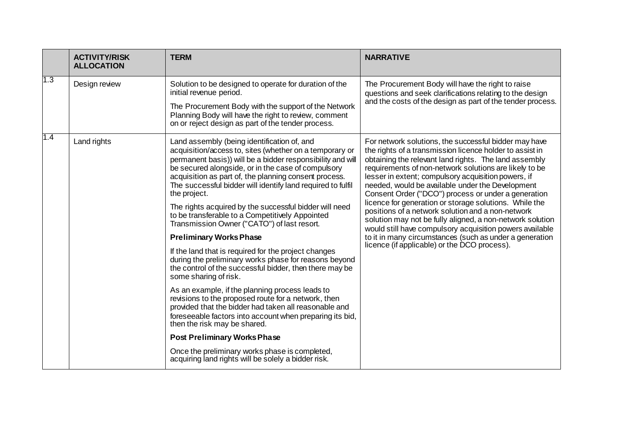|     | <b>ACTIVITY/RISK</b><br><b>ALLOCATION</b> | <b>TERM</b>                                                                                                                                                                                                                                                                                                                                                                                                                                                                                                                                                                                                                                                                                                                                                                                                                                                                                                                                                                                                                                                                                                                                                                          | <b>NARRATIVE</b>                                                                                                                                                                                                                                                                                                                                                                                                                                                                                                                                                                                                                                                                                                                                          |
|-----|-------------------------------------------|--------------------------------------------------------------------------------------------------------------------------------------------------------------------------------------------------------------------------------------------------------------------------------------------------------------------------------------------------------------------------------------------------------------------------------------------------------------------------------------------------------------------------------------------------------------------------------------------------------------------------------------------------------------------------------------------------------------------------------------------------------------------------------------------------------------------------------------------------------------------------------------------------------------------------------------------------------------------------------------------------------------------------------------------------------------------------------------------------------------------------------------------------------------------------------------|-----------------------------------------------------------------------------------------------------------------------------------------------------------------------------------------------------------------------------------------------------------------------------------------------------------------------------------------------------------------------------------------------------------------------------------------------------------------------------------------------------------------------------------------------------------------------------------------------------------------------------------------------------------------------------------------------------------------------------------------------------------|
| 1.3 | Design review                             | Solution to be designed to operate for duration of the<br>initial revenue period.                                                                                                                                                                                                                                                                                                                                                                                                                                                                                                                                                                                                                                                                                                                                                                                                                                                                                                                                                                                                                                                                                                    | The Procurement Body will have the right to raise<br>questions and seek clarifications relating to the design                                                                                                                                                                                                                                                                                                                                                                                                                                                                                                                                                                                                                                             |
|     |                                           | The Procurement Body with the support of the Network<br>Planning Body will have the right to review, comment<br>on or reject design as part of the tender process.                                                                                                                                                                                                                                                                                                                                                                                                                                                                                                                                                                                                                                                                                                                                                                                                                                                                                                                                                                                                                   | and the costs of the design as part of the tender process.                                                                                                                                                                                                                                                                                                                                                                                                                                                                                                                                                                                                                                                                                                |
| 1.4 | Land rights                               | Land assembly (being identification of, and<br>acquisition/access to, sites (whether on a temporary or<br>permanent basis)) will be a bidder responsibility and will<br>be secured alongside, or in the case of compulsory<br>acquisition as part of, the planning consent process.<br>The successful bidder will identify land required to fulfil<br>the project.<br>The rights acquired by the successful bidder will need<br>to be transferable to a Competitively Appointed<br>Transmission Owner ("CATO") of last resort.<br><b>Preliminary Works Phase</b><br>If the land that is required for the project changes<br>during the preliminary works phase for reasons beyond<br>the control of the successful bidder, then there may be<br>some sharing of risk.<br>As an example, if the planning process leads to<br>revisions to the proposed route for a network, then<br>provided that the bidder had taken all reasonable and<br>foreseeable factors into account when preparing its bid,<br>then the risk may be shared.<br><b>Post Preliminary Works Phase</b><br>Once the preliminary works phase is completed,<br>acquiring land rights will be solely a bidder risk. | For network solutions, the successful bidder may have<br>the rights of a transmission licence holder to assist in<br>obtaining the relevant land rights. The land assembly<br>requirements of non-network solutions are likely to be<br>lesser in extent; compulsory acquisition powers, if<br>needed, would be available under the Development<br>Consent Order ("DCO") process or under a generation<br>licence for generation or storage solutions. While the<br>positions of a network solution and a non-network<br>solution may not be fully aligned, a non-network solution<br>would still have compulsory acquisition powers available<br>to it in many circumstances (such as under a generation<br>licence (if applicable) or the DCO process). |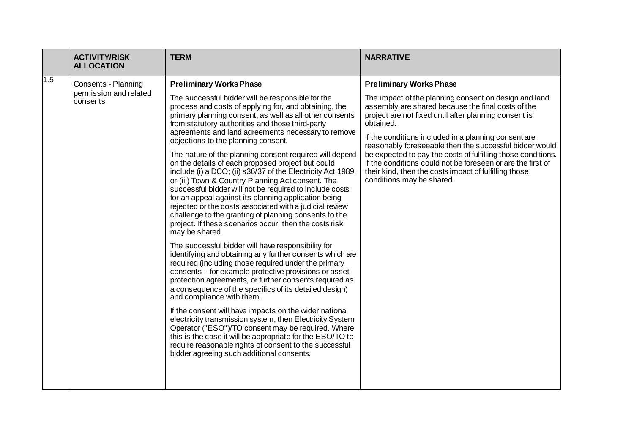|     | <b>ACTIVITY/RISK</b><br><b>ALLOCATION</b> | <b>TERM</b>                                                                                                                                                                                                                                                                                                                                                                                                                                                                                                                                         | <b>NARRATIVE</b>                                                                                                                                                                                                  |
|-----|-------------------------------------------|-----------------------------------------------------------------------------------------------------------------------------------------------------------------------------------------------------------------------------------------------------------------------------------------------------------------------------------------------------------------------------------------------------------------------------------------------------------------------------------------------------------------------------------------------------|-------------------------------------------------------------------------------------------------------------------------------------------------------------------------------------------------------------------|
| 1.5 | Consents - Planning                       | <b>Preliminary Works Phase</b>                                                                                                                                                                                                                                                                                                                                                                                                                                                                                                                      | <b>Preliminary Works Phase</b>                                                                                                                                                                                    |
|     | permission and related<br>consents        | The successful bidder will be responsible for the<br>process and costs of applying for, and obtaining, the<br>primary planning consent, as well as all other consents<br>from statutory authorities and those third-party<br>agreements and land agreements necessary to remove                                                                                                                                                                                                                                                                     | The impact of the planning consent on design and land<br>assembly are shared because the final costs of the<br>project are not fixed until after planning consent is<br>obtained.                                 |
|     |                                           | objections to the planning consent.                                                                                                                                                                                                                                                                                                                                                                                                                                                                                                                 | If the conditions included in a planning consent are<br>reasonably foreseeable then the successful bidder would                                                                                                   |
|     |                                           | The nature of the planning consent required will depend<br>on the details of each proposed project but could<br>include (i) a DCO; (ii) s36/37 of the Electricity Act 1989;<br>or (iii) Town & Country Planning Act consent. The<br>successful bidder will not be required to include costs<br>for an appeal against its planning application being<br>rejected or the costs associated with a judicial review<br>challenge to the granting of planning consents to the<br>project. If these scenarios occur, then the costs risk<br>may be shared. | be expected to pay the costs of fulfilling those conditions.<br>If the conditions could not be foreseen or are the first of<br>their kind, then the costs impact of fulfilling those<br>conditions may be shared. |
|     |                                           | The successful bidder will have responsibility for<br>identifying and obtaining any further consents which are<br>required (including those required under the primary<br>consents - for example protective provisions or asset<br>protection agreements, or further consents required as<br>a consequence of the specifics of its detailed design)<br>and compliance with them.                                                                                                                                                                    |                                                                                                                                                                                                                   |
|     |                                           | If the consent will have impacts on the wider national<br>electricity transmission system, then Electricity System<br>Operator ("ESO")/TO consent may be required. Where<br>this is the case it will be appropriate for the ESO/TO to<br>require reasonable rights of consent to the successful<br>bidder agreeing such additional consents.                                                                                                                                                                                                        |                                                                                                                                                                                                                   |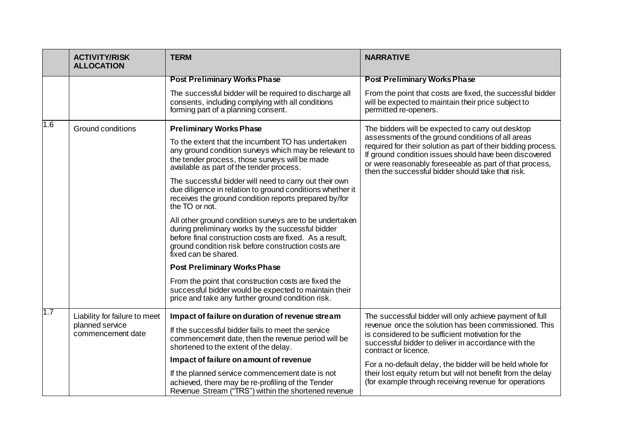|     | <b>ACTIVITY/RISK</b><br><b>ALLOCATION</b> | <b>TERM</b>                                                                                                                                                                                                                                            | <b>NARRATIVE</b>                                                                                                                                                                                                                                                                             |
|-----|-------------------------------------------|--------------------------------------------------------------------------------------------------------------------------------------------------------------------------------------------------------------------------------------------------------|----------------------------------------------------------------------------------------------------------------------------------------------------------------------------------------------------------------------------------------------------------------------------------------------|
|     |                                           | <b>Post Preliminary Works Phase</b>                                                                                                                                                                                                                    | <b>Post Preliminary Works Phase</b>                                                                                                                                                                                                                                                          |
|     |                                           | The successful bidder will be required to discharge all<br>consents, including complying with all conditions<br>forming part of a planning consent.                                                                                                    | From the point that costs are fixed, the successful bidder<br>will be expected to maintain their price subject to<br>permitted re-openers.                                                                                                                                                   |
| 1.6 | Ground conditions                         | <b>Preliminary Works Phase</b>                                                                                                                                                                                                                         | The bidders will be expected to carry out desktop                                                                                                                                                                                                                                            |
|     |                                           | To the extent that the incumbent TO has undertaken<br>any ground condition surveys which may be relevant to<br>the tender process, those surveys will be made<br>available as part of the tender process.                                              | assessments of the ground conditions of all areas<br>required for their solution as part of their bidding process.<br>If ground condition issues should have been discovered<br>or were reasonably foreseeable as part of that process,<br>then the successful bidder should take that risk. |
|     |                                           | The successful bidder will need to carry out their own<br>due diligence in relation to ground conditions whether it<br>receives the ground condition reports prepared by/for<br>the TO or not.                                                         |                                                                                                                                                                                                                                                                                              |
|     |                                           | All other ground condition surveys are to be undertaken<br>during preliminary works by the successful bidder<br>before final construction costs are fixed. As a result,<br>ground condition risk before construction costs are<br>fixed can be shared. |                                                                                                                                                                                                                                                                                              |
|     |                                           | <b>Post Preliminary Works Phase</b>                                                                                                                                                                                                                    |                                                                                                                                                                                                                                                                                              |
|     |                                           | From the point that construction costs are fixed the<br>successful bidder would be expected to maintain their<br>price and take any further ground condition risk.                                                                                     |                                                                                                                                                                                                                                                                                              |
| 1.7 | Liability for failure to meet             | Impact of failure on duration of revenue stream                                                                                                                                                                                                        | The successful bidder will only achieve payment of full                                                                                                                                                                                                                                      |
|     | planned service<br>commencement date      | If the successful bidder fails to meet the service<br>commencement date, then the revenue period will be<br>shortened to the extent of the delay.                                                                                                      | revenue once the solution has been commissioned. This<br>is considered to be sufficient motivation for the<br>successful bidder to deliver in accordance with the<br>contract or licence.                                                                                                    |
|     |                                           | Impact of failure on amount of revenue                                                                                                                                                                                                                 | For a no-default delay, the bidder will be held whole for                                                                                                                                                                                                                                    |
|     |                                           | If the planned service commencement date is not<br>achieved, there may be re-profiling of the Tender<br>Revenue Stream ("TRS") within the shortened revenue                                                                                            | their lost equity return but will not benefit from the delay<br>(for example through receiving revenue for operations                                                                                                                                                                        |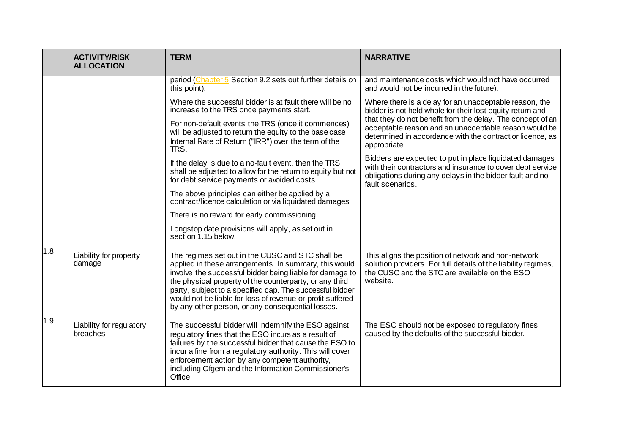|     | <b>ACTIVITY/RISK</b><br><b>ALLOCATION</b> | <b>TERM</b>                                                                                                                                                                                                                                                                                                                                                                                                     | <b>NARRATIVE</b>                                                                                                                                                                                       |
|-----|-------------------------------------------|-----------------------------------------------------------------------------------------------------------------------------------------------------------------------------------------------------------------------------------------------------------------------------------------------------------------------------------------------------------------------------------------------------------------|--------------------------------------------------------------------------------------------------------------------------------------------------------------------------------------------------------|
|     |                                           | period (Chapter 5 Section 9.2 sets out further details on<br>this point).                                                                                                                                                                                                                                                                                                                                       | and maintenance costs which would not have occurred<br>and would not be incurred in the future).                                                                                                       |
|     |                                           | Where the successful bidder is at fault there will be no<br>increase to the TRS once payments start.                                                                                                                                                                                                                                                                                                            | Where there is a delay for an unacceptable reason, the<br>bidder is not held whole for their lost equity return and                                                                                    |
|     |                                           | For non-default events the TRS (once it commences)<br>will be adjusted to return the equity to the base case<br>Internal Rate of Return ("IRR") over the term of the<br>TRS.                                                                                                                                                                                                                                    | that they do not benefit from the delay. The concept of an<br>acceptable reason and an unacceptable reason would be<br>determined in accordance with the contract or licence, as<br>appropriate.       |
|     |                                           | If the delay is due to a no-fault event, then the TRS<br>shall be adjusted to allow for the return to equity but not<br>for debt service payments or avoided costs.                                                                                                                                                                                                                                             | Bidders are expected to put in place liquidated damages<br>with their contractors and insurance to cover debt service<br>obligations during any delays in the bidder fault and no-<br>fault scenarios. |
|     |                                           | The above principles can either be applied by a<br>contract/licence calculation or via liquidated damages                                                                                                                                                                                                                                                                                                       |                                                                                                                                                                                                        |
|     |                                           | There is no reward for early commissioning.                                                                                                                                                                                                                                                                                                                                                                     |                                                                                                                                                                                                        |
|     |                                           | Longstop date provisions will apply, as set out in<br>section 1.15 below.                                                                                                                                                                                                                                                                                                                                       |                                                                                                                                                                                                        |
| 1.8 | Liability for property<br>damage          | The regimes set out in the CUSC and STC shall be<br>applied in these arrangements. In summary, this would<br>involve the successful bidder being liable for damage to<br>the physical property of the counterparty, or any third<br>party, subject to a specified cap. The successful bidder<br>would not be liable for loss of revenue or profit suffered<br>by any other person, or any consequential losses. | This aligns the position of network and non-network<br>solution providers. For full details of the liability regimes,<br>the CUSC and the STC are available on the ESO<br>website.                     |
| 1.9 | Liability for regulatory<br>breaches      | The successful bidder will indemnify the ESO against<br>regulatory fines that the ESO incurs as a result of<br>failures by the successful bidder that cause the ESO to<br>incur a fine from a regulatory authority. This will cover<br>enforcement action by any competent authority,<br>including Ofgem and the Information Commissioner's<br>Office.                                                          | The ESO should not be exposed to regulatory fines<br>caused by the defaults of the successful bidder.                                                                                                  |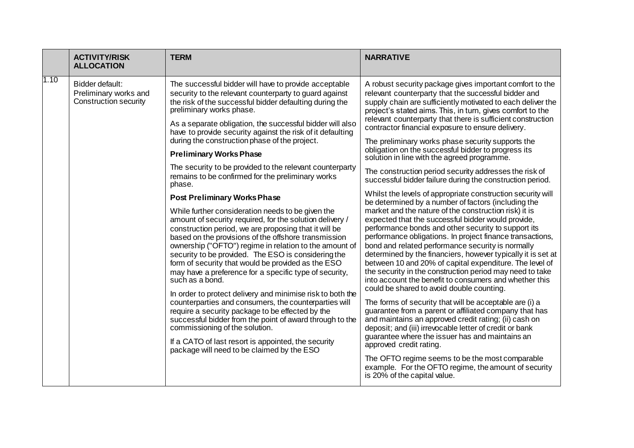|      | <b>ACTIVITY/RISK</b><br><b>ALLOCATION</b>                         | <b>TERM</b>                                                                                                                                                                                                                                                                                                                                                                                                                                                                                                                                                                                                                                                                                                                                                                                                        | <b>NARRATIVE</b>                                                                                                                                                                                                                                                                                                                                                                                                                                                                                                                                                                                                                                                                                                                                                                                                                                                                                          |
|------|-------------------------------------------------------------------|--------------------------------------------------------------------------------------------------------------------------------------------------------------------------------------------------------------------------------------------------------------------------------------------------------------------------------------------------------------------------------------------------------------------------------------------------------------------------------------------------------------------------------------------------------------------------------------------------------------------------------------------------------------------------------------------------------------------------------------------------------------------------------------------------------------------|-----------------------------------------------------------------------------------------------------------------------------------------------------------------------------------------------------------------------------------------------------------------------------------------------------------------------------------------------------------------------------------------------------------------------------------------------------------------------------------------------------------------------------------------------------------------------------------------------------------------------------------------------------------------------------------------------------------------------------------------------------------------------------------------------------------------------------------------------------------------------------------------------------------|
| 1.10 | Bidder default:<br>Preliminary works and<br>Construction security | The successful bidder will have to provide acceptable<br>security to the relevant counterparty to guard against<br>the risk of the successful bidder defaulting during the<br>preliminary works phase.                                                                                                                                                                                                                                                                                                                                                                                                                                                                                                                                                                                                             | A robust security package gives important comfort to the<br>relevant counterparty that the successful bidder and<br>supply chain are sufficiently motivated to each deliver the<br>project's stated aims. This, in turn, gives comfort to the                                                                                                                                                                                                                                                                                                                                                                                                                                                                                                                                                                                                                                                             |
|      |                                                                   | As a separate obligation, the successful bidder will also<br>have to provide security against the risk of it defaulting<br>during the construction phase of the project.                                                                                                                                                                                                                                                                                                                                                                                                                                                                                                                                                                                                                                           | relevant counterparty that there is sufficient construction<br>contractor financial exposure to ensure delivery.<br>The preliminary works phase security supports the                                                                                                                                                                                                                                                                                                                                                                                                                                                                                                                                                                                                                                                                                                                                     |
|      |                                                                   | <b>Preliminary Works Phase</b>                                                                                                                                                                                                                                                                                                                                                                                                                                                                                                                                                                                                                                                                                                                                                                                     | obligation on the successful bidder to progress its<br>solution in line with the agreed programme.                                                                                                                                                                                                                                                                                                                                                                                                                                                                                                                                                                                                                                                                                                                                                                                                        |
|      |                                                                   | The security to be provided to the relevant counterparty<br>remains to be confirmed for the preliminary works<br>phase.                                                                                                                                                                                                                                                                                                                                                                                                                                                                                                                                                                                                                                                                                            | The construction period security addresses the risk of<br>successful bidder failure during the construction period.                                                                                                                                                                                                                                                                                                                                                                                                                                                                                                                                                                                                                                                                                                                                                                                       |
|      |                                                                   | <b>Post Preliminary Works Phase</b>                                                                                                                                                                                                                                                                                                                                                                                                                                                                                                                                                                                                                                                                                                                                                                                | Whilst the levels of appropriate construction security will<br>be determined by a number of factors (including the                                                                                                                                                                                                                                                                                                                                                                                                                                                                                                                                                                                                                                                                                                                                                                                        |
|      |                                                                   | While further consideration needs to be given the<br>amount of security required, for the solution delivery /<br>construction period, we are proposing that it will be<br>based on the provisions of the offshore transmission<br>ownership ("OFTO") regime in relation to the amount of<br>security to be provided. The ESO is considering the<br>form of security that would be provided as the ESO<br>may have a preference for a specific type of security,<br>such as a bond.<br>In order to protect delivery and minimise risk to both the<br>counterparties and consumers, the counterparties will<br>require a security package to be effected by the<br>successful bidder from the point of award through to the<br>commissioning of the solution.<br>If a CATO of last resort is appointed, the security | market and the nature of the construction risk) it is<br>expected that the successful bidder would provide,<br>performance bonds and other security to support its<br>performance obligations. In project finance transactions,<br>bond and related performance security is normally<br>determined by the financiers, however typically it is set at<br>between 10 and 20% of capital expenditure. The level of<br>the security in the construction period may need to take<br>into account the benefit to consumers and whether this<br>could be shared to avoid double counting.<br>The forms of security that will be acceptable are (i) a<br>guarantee from a parent or affiliated company that has<br>and maintains an approved credit rating; (ii) cash on<br>deposit; and (iii) irrevocable letter of credit or bank<br>guarantee where the issuer has and maintains an<br>approved credit rating. |
|      |                                                                   | package will need to be claimed by the ESO                                                                                                                                                                                                                                                                                                                                                                                                                                                                                                                                                                                                                                                                                                                                                                         | The OFTO regime seems to be the most comparable<br>example. For the OFTO regime, the amount of security<br>is 20% of the capital value.                                                                                                                                                                                                                                                                                                                                                                                                                                                                                                                                                                                                                                                                                                                                                                   |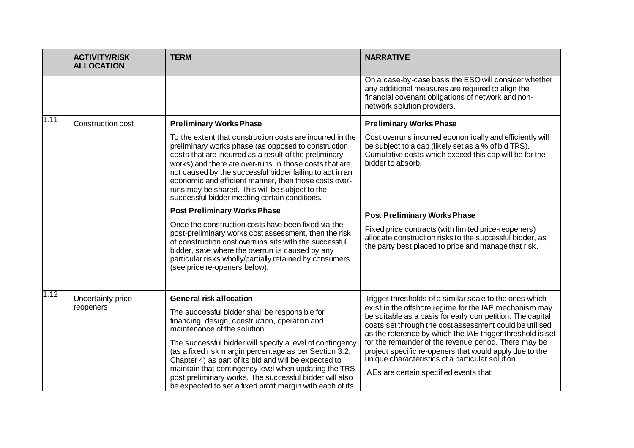|      | <b>ACTIVITY/RISK</b><br><b>ALLOCATION</b> | <b>TERM</b>                                                                                                                                                                                                                                                                                                                                                                                                                                                   | <b>NARRATIVE</b>                                                                                                                                                                                                                                                                                                                                                                                                                                                |
|------|-------------------------------------------|---------------------------------------------------------------------------------------------------------------------------------------------------------------------------------------------------------------------------------------------------------------------------------------------------------------------------------------------------------------------------------------------------------------------------------------------------------------|-----------------------------------------------------------------------------------------------------------------------------------------------------------------------------------------------------------------------------------------------------------------------------------------------------------------------------------------------------------------------------------------------------------------------------------------------------------------|
|      |                                           |                                                                                                                                                                                                                                                                                                                                                                                                                                                               | On a case-by-case basis the ESO will consider whether<br>any additional measures are required to align the<br>financial covenant obligations of network and non-<br>network solution providers.                                                                                                                                                                                                                                                                 |
| 1.11 | <b>Construction cost</b>                  | <b>Preliminary Works Phase</b>                                                                                                                                                                                                                                                                                                                                                                                                                                | <b>Preliminary Works Phase</b>                                                                                                                                                                                                                                                                                                                                                                                                                                  |
|      |                                           | To the extent that construction costs are incurred in the<br>preliminary works phase (as opposed to construction<br>costs that are incurred as a result of the preliminary<br>works) and there are over-runs in those costs that are<br>not caused by the successful bidder failing to act in an<br>economic and efficient manner, then those costs over-<br>runs may be shared. This will be subject to the<br>successful bidder meeting certain conditions. | Cost overruns incurred economically and efficiently will<br>be subject to a cap (likely set as a % of bid TRS).<br>Cumulative costs which exceed this cap will be for the<br>bidder to absorb.                                                                                                                                                                                                                                                                  |
|      |                                           | <b>Post Preliminary Works Phase</b>                                                                                                                                                                                                                                                                                                                                                                                                                           | <b>Post Preliminary Works Phase</b>                                                                                                                                                                                                                                                                                                                                                                                                                             |
|      |                                           | Once the construction costs have been fixed via the<br>post-preliminary works cost assessment, then the risk<br>of construction cost overruns sits with the successful<br>bidder, save where the overrun is caused by any<br>particular risks wholly/partially retained by consumers<br>(see price re-openers below).                                                                                                                                         | Fixed price contracts (with limited price-reopeners)<br>allocate construction risks to the successful bidder, as<br>the party best placed to price and manage that risk.                                                                                                                                                                                                                                                                                        |
| 1.12 | Uncertainty price                         | <b>General risk allocation</b>                                                                                                                                                                                                                                                                                                                                                                                                                                | Trigger thresholds of a similar scale to the ones which                                                                                                                                                                                                                                                                                                                                                                                                         |
|      | reopeners                                 | The successful bidder shall be responsible for<br>financing, design, construction, operation and<br>maintenance of the solution.<br>The successful bidder will specify a level of contingency<br>(as a fixed risk margin percentage as per Section 3.2,<br>Chapter 4) as part of its bid and will be expected to<br>maintain that contingency level when updating the TRS                                                                                     | exist in the offshore regime for the IAE mechanism may<br>be suitable as a basis for early competition. The capital<br>costs set through the cost assessment could be utilised<br>as the reference by which the IAE trigger threshold is set<br>for the remainder of the revenue period. There may be<br>project specific re-openers that would apply due to the<br>unique characteristics of a particular solution.<br>IAEs are certain specified events that: |
|      |                                           | post preliminary works. The successful bidder will also<br>be expected to set a fixed profit margin with each of its                                                                                                                                                                                                                                                                                                                                          |                                                                                                                                                                                                                                                                                                                                                                                                                                                                 |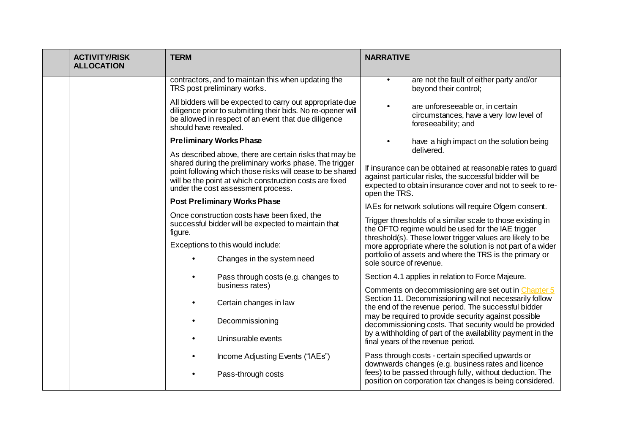| <b>ACTIVITY/RISK</b><br><b>ALLOCATION</b> | <b>TERM</b>                                                                                                                                                                                                                                                                     | <b>NARRATIVE</b>                                                                                                                                                                                   |
|-------------------------------------------|---------------------------------------------------------------------------------------------------------------------------------------------------------------------------------------------------------------------------------------------------------------------------------|----------------------------------------------------------------------------------------------------------------------------------------------------------------------------------------------------|
|                                           | contractors, and to maintain this when updating the<br>TRS post preliminary works.                                                                                                                                                                                              | are not the fault of either party and/or<br>$\bullet$<br>beyond their control;                                                                                                                     |
|                                           | All bidders will be expected to carry out appropriate due<br>diligence prior to submitting their bids. No re-opener will<br>be allowed in respect of an event that due diligence<br>should have revealed.                                                                       | are unforeseeable or, in certain<br>circumstances, have a very low level of<br>foreseeability; and                                                                                                 |
|                                           | <b>Preliminary Works Phase</b>                                                                                                                                                                                                                                                  | have a high impact on the solution being<br>delivered.                                                                                                                                             |
|                                           | As described above, there are certain risks that may be<br>shared during the preliminary works phase. The trigger<br>point following which those risks will cease to be shared<br>will be the point at which construction costs are fixed<br>under the cost assessment process. | If insurance can be obtained at reasonable rates to guard<br>against particular risks, the successful bidder will be<br>expected to obtain insurance cover and not to seek to re-<br>open the TRS. |
|                                           | <b>Post Preliminary Works Phase</b>                                                                                                                                                                                                                                             | IAEs for network solutions will require Ofgem consent.                                                                                                                                             |
|                                           | Once construction costs have been fixed, the<br>successful bidder will be expected to maintain that<br>figure.                                                                                                                                                                  | Trigger thresholds of a similar scale to those existing in<br>the OFTO regime would be used for the IAE trigger<br>threshold(s). These lower trigger values are likely to be                       |
|                                           | Exceptions to this would include:                                                                                                                                                                                                                                               | more appropriate where the solution is not part of a wider                                                                                                                                         |
|                                           | Changes in the system need                                                                                                                                                                                                                                                      | portfolio of assets and where the TRS is the primary or<br>sole source of revenue.                                                                                                                 |
|                                           | Pass through costs (e.g. changes to<br>business rates)                                                                                                                                                                                                                          | Section 4.1 applies in relation to Force Majeure.                                                                                                                                                  |
|                                           | Certain changes in law                                                                                                                                                                                                                                                          | Comments on decommissioning are set out in Chapter 5<br>Section 11. Decommissioning will not necessarily follow<br>the end of the revenue period. The successful bidder                            |
|                                           | Decommissioning                                                                                                                                                                                                                                                                 | may be required to provide security against possible<br>decommissioning costs. That security would be provided                                                                                     |
|                                           | Uninsurable events                                                                                                                                                                                                                                                              | by a withholding of part of the availability payment in the<br>final years of the revenue period.                                                                                                  |
|                                           | Income Adjusting Events ("IAEs")                                                                                                                                                                                                                                                | Pass through costs - certain specified upwards or<br>downwards changes (e.g. business rates and licence                                                                                            |
|                                           | Pass-through costs                                                                                                                                                                                                                                                              | fees) to be passed through fully, without deduction. The<br>position on corporation tax changes is being considered.                                                                               |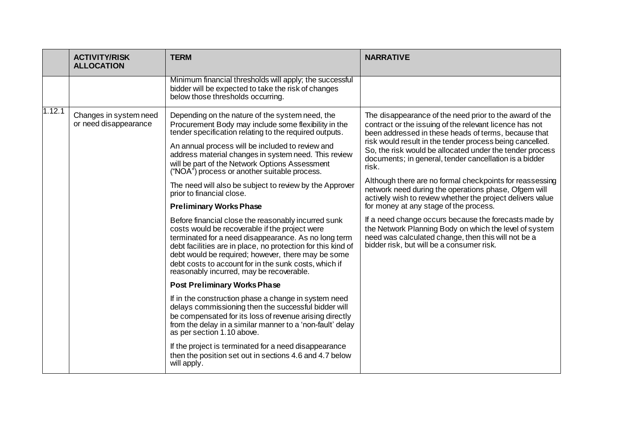|        | <b>ACTIVITY/RISK</b><br><b>ALLOCATION</b>       | <b>TERM</b>                                                                                                                                                                                                                                                                                                                                                                                                                                                                                                                                                                                                                                                                                                                                                                                                                                                                                                                                                                                          | <b>NARRATIVE</b>                                                                                                                                                                                                                                                                                                                                                                                                                                                                                                                                                                                                                                                                                                                                                                                                         |
|--------|-------------------------------------------------|------------------------------------------------------------------------------------------------------------------------------------------------------------------------------------------------------------------------------------------------------------------------------------------------------------------------------------------------------------------------------------------------------------------------------------------------------------------------------------------------------------------------------------------------------------------------------------------------------------------------------------------------------------------------------------------------------------------------------------------------------------------------------------------------------------------------------------------------------------------------------------------------------------------------------------------------------------------------------------------------------|--------------------------------------------------------------------------------------------------------------------------------------------------------------------------------------------------------------------------------------------------------------------------------------------------------------------------------------------------------------------------------------------------------------------------------------------------------------------------------------------------------------------------------------------------------------------------------------------------------------------------------------------------------------------------------------------------------------------------------------------------------------------------------------------------------------------------|
|        |                                                 | Minimum financial thresholds will apply; the successful<br>bidder will be expected to take the risk of changes<br>below those thresholds occurring.                                                                                                                                                                                                                                                                                                                                                                                                                                                                                                                                                                                                                                                                                                                                                                                                                                                  |                                                                                                                                                                                                                                                                                                                                                                                                                                                                                                                                                                                                                                                                                                                                                                                                                          |
| 1.12.1 | Changes in system need<br>or need disappearance | Depending on the nature of the system need, the<br>Procurement Body may include some flexibility in the<br>tender specification relating to the required outputs.<br>An annual process will be included to review and<br>address material changes in system need. This review<br>will be part of the Network Options Assessment<br>("NOA") process or another suitable process.<br>The need will also be subject to review by the Approver<br>prior to financial close.<br><b>Preliminary Works Phase</b><br>Before financial close the reasonably incurred sunk<br>costs would be recoverable if the project were<br>terminated for a need disappearance. As no long term<br>debt facilities are in place, no protection for this kind of<br>debt would be required; however, there may be some<br>debt costs to account for in the sunk costs, which if<br>reasonably incurred, may be recoverable.<br><b>Post Preliminary Works Phase</b><br>If in the construction phase a change in system need | The disappearance of the need prior to the award of the<br>contract or the issuing of the relevant licence has not<br>been addressed in these heads of terms, because that<br>risk would result in the tender process being cancelled.<br>So, the risk would be allocated under the tender process<br>documents; in general, tender cancellation is a bidder<br>risk.<br>Although there are no formal checkpoints for reassessing<br>network need during the operations phase, Ofgem will<br>actively wish to review whether the project delivers value<br>for money at any stage of the process.<br>If a need change occurs because the forecasts made by<br>the Network Planning Body on which the level of system<br>need was calculated change, then this will not be a<br>bidder risk, but will be a consumer risk. |
|        |                                                 | delays commissioning then the successful bidder will<br>be compensated for its loss of revenue arising directly<br>from the delay in a similar manner to a 'non-fault' delay<br>as per section 1.10 above.                                                                                                                                                                                                                                                                                                                                                                                                                                                                                                                                                                                                                                                                                                                                                                                           |                                                                                                                                                                                                                                                                                                                                                                                                                                                                                                                                                                                                                                                                                                                                                                                                                          |
|        |                                                 | If the project is terminated for a need disappearance<br>then the position set out in sections 4.6 and 4.7 below<br>will apply.                                                                                                                                                                                                                                                                                                                                                                                                                                                                                                                                                                                                                                                                                                                                                                                                                                                                      |                                                                                                                                                                                                                                                                                                                                                                                                                                                                                                                                                                                                                                                                                                                                                                                                                          |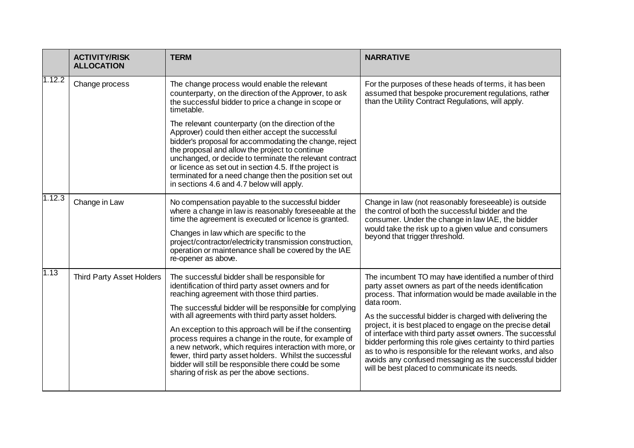|        | <b>ACTIVITY/RISK</b><br><b>ALLOCATION</b> | <b>TERM</b>                                                                                                                                                                                                                                                                                                                                                                                                                                                                                                                                                                                                             | <b>NARRATIVE</b>                                                                                                                                                                                                                                                                                                                                                                                                                                                                                                                                                                                                          |
|--------|-------------------------------------------|-------------------------------------------------------------------------------------------------------------------------------------------------------------------------------------------------------------------------------------------------------------------------------------------------------------------------------------------------------------------------------------------------------------------------------------------------------------------------------------------------------------------------------------------------------------------------------------------------------------------------|---------------------------------------------------------------------------------------------------------------------------------------------------------------------------------------------------------------------------------------------------------------------------------------------------------------------------------------------------------------------------------------------------------------------------------------------------------------------------------------------------------------------------------------------------------------------------------------------------------------------------|
| 1.12.2 | Change process                            | The change process would enable the relevant<br>counterparty, on the direction of the Approver, to ask<br>the successful bidder to price a change in scope or<br>timetable.                                                                                                                                                                                                                                                                                                                                                                                                                                             | For the purposes of these heads of terms, it has been<br>assumed that bespoke procurement regulations, rather<br>than the Utility Contract Regulations, will apply.                                                                                                                                                                                                                                                                                                                                                                                                                                                       |
|        |                                           | The relevant counterparty (on the direction of the<br>Approver) could then either accept the successful<br>bidder's proposal for accommodating the change, reject<br>the proposal and allow the project to continue<br>unchanged, or decide to terminate the relevant contract<br>or licence as set out in section 4.5. If the project is<br>terminated for a need change then the position set out<br>in sections 4.6 and 4.7 below will apply.                                                                                                                                                                        |                                                                                                                                                                                                                                                                                                                                                                                                                                                                                                                                                                                                                           |
| 1.12.3 | Change in Law                             | No compensation payable to the successful bidder<br>where a change in law is reasonably foreseeable at the<br>time the agreement is executed or licence is granted.<br>Changes in law which are specific to the<br>project/contractor/electricity transmission construction,<br>operation or maintenance shall be covered by the IAE<br>re-opener as above.                                                                                                                                                                                                                                                             | Change in law (not reasonably foreseeable) is outside<br>the control of both the successful bidder and the<br>consumer. Under the change in law IAE, the bidder<br>would take the risk up to a given value and consumers<br>beyond that trigger threshold.                                                                                                                                                                                                                                                                                                                                                                |
| 1.13   | Third Party Asset Holders                 | The successful bidder shall be responsible for<br>identification of third party asset owners and for<br>reaching agreement with those third parties.<br>The successful bidder will be responsible for complying<br>with all agreements with third party asset holders.<br>An exception to this approach will be if the consenting<br>process requires a change in the route, for example of<br>a new network, which requires interaction with more, or<br>fewer, third party asset holders. Whilst the successful<br>bidder will still be responsible there could be some<br>sharing of risk as per the above sections. | The incumbent TO may have identified a number of third<br>party asset owners as part of the needs identification<br>process. That information would be made available in the<br>data room.<br>As the successful bidder is charged with delivering the<br>project, it is best placed to engage on the precise detail<br>of interface with third party asset owners. The successful<br>bidder performing this role gives certainty to third parties<br>as to who is responsible for the relevant works, and also<br>avoids any confused messaging as the successful bidder<br>will be best placed to communicate its needs. |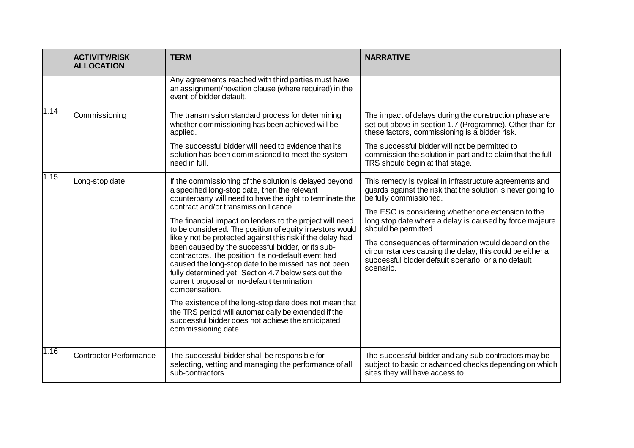|      | <b>ACTIVITY/RISK</b><br><b>ALLOCATION</b> | <b>TERM</b>                                                                                                                                                                                                                                                                                                                                                                                                                                                                                                                                                                                                                                                                                                                                                                                                                                                                                  | <b>NARRATIVE</b>                                                                                                                                                                                                                                                                                                                                                                                                                                                                 |
|------|-------------------------------------------|----------------------------------------------------------------------------------------------------------------------------------------------------------------------------------------------------------------------------------------------------------------------------------------------------------------------------------------------------------------------------------------------------------------------------------------------------------------------------------------------------------------------------------------------------------------------------------------------------------------------------------------------------------------------------------------------------------------------------------------------------------------------------------------------------------------------------------------------------------------------------------------------|----------------------------------------------------------------------------------------------------------------------------------------------------------------------------------------------------------------------------------------------------------------------------------------------------------------------------------------------------------------------------------------------------------------------------------------------------------------------------------|
|      |                                           | Any agreements reached with third parties must have<br>an assignment/novation clause (where required) in the<br>event of bidder default.                                                                                                                                                                                                                                                                                                                                                                                                                                                                                                                                                                                                                                                                                                                                                     |                                                                                                                                                                                                                                                                                                                                                                                                                                                                                  |
| 1.14 | Commissioning                             | The transmission standard process for determining<br>whether commissioning has been achieved will be<br>applied.<br>The successful bidder will need to evidence that its<br>solution has been commissioned to meet the system<br>need in full.                                                                                                                                                                                                                                                                                                                                                                                                                                                                                                                                                                                                                                               | The impact of delays during the construction phase are<br>set out above in section 1.7 (Programme). Other than for<br>these factors, commissioning is a bidder risk.<br>The successful bidder will not be permitted to<br>commission the solution in part and to claim that the full<br>TRS should begin at that stage.                                                                                                                                                          |
| 1.15 | Long-stop date                            | If the commissioning of the solution is delayed beyond<br>a specified long-stop date, then the relevant<br>counterparty will need to have the right to terminate the<br>contract and/or transmission licence.<br>The financial impact on lenders to the project will need<br>to be considered. The position of equity investors would<br>likely not be protected against this risk if the delay had<br>been caused by the successful bidder, or its sub-<br>contractors. The position if a no-default event had<br>caused the long-stop date to be missed has not been<br>fully determined yet. Section 4.7 below sets out the<br>current proposal on no-default termination<br>compensation.<br>The existence of the long-stop date does not mean that<br>the TRS period will automatically be extended if the<br>successful bidder does not achieve the anticipated<br>commissioning date. | This remedy is typical in infrastructure agreements and<br>guards against the risk that the solution is never going to<br>be fully commissioned.<br>The ESO is considering whether one extension to the<br>long stop date where a delay is caused by force majeure<br>should be permitted.<br>The consequences of termination would depend on the<br>circumstances causing the delay; this could be either a<br>successful bidder default scenario, or a no default<br>scenario. |
| 1.16 | <b>Contractor Performance</b>             | The successful bidder shall be responsible for<br>selecting, vetting and managing the performance of all<br>sub-contractors.                                                                                                                                                                                                                                                                                                                                                                                                                                                                                                                                                                                                                                                                                                                                                                 | The successful bidder and any sub-contractors may be<br>subject to basic or advanced checks depending on which<br>sites they will have access to.                                                                                                                                                                                                                                                                                                                                |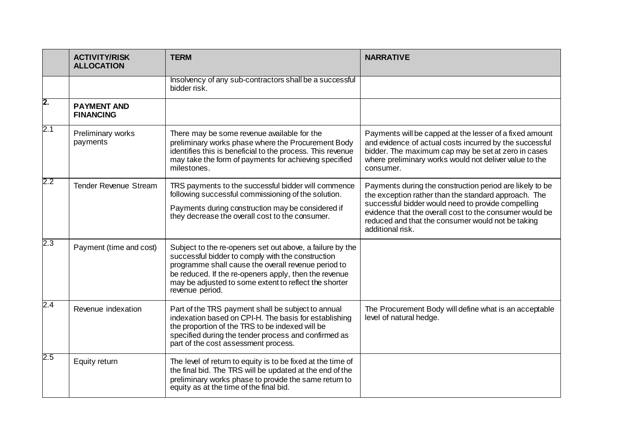|         | <b>ACTIVITY/RISK</b><br><b>ALLOCATION</b> | <b>TERM</b>                                                                                                                                                                                                                                                                                                | <b>NARRATIVE</b>                                                                                                                                                                                                                                                                                           |
|---------|-------------------------------------------|------------------------------------------------------------------------------------------------------------------------------------------------------------------------------------------------------------------------------------------------------------------------------------------------------------|------------------------------------------------------------------------------------------------------------------------------------------------------------------------------------------------------------------------------------------------------------------------------------------------------------|
|         |                                           | Insolvency of any sub-contractors shall be a successful<br>bidder risk.                                                                                                                                                                                                                                    |                                                                                                                                                                                                                                                                                                            |
| 2.      | <b>PAYMENT AND</b><br><b>FINANCING</b>    |                                                                                                                                                                                                                                                                                                            |                                                                                                                                                                                                                                                                                                            |
| 2.1     | Preliminary works<br>payments             | There may be some revenue available for the<br>preliminary works phase where the Procurement Body<br>identifies this is beneficial to the process. This revenue<br>may take the form of payments for achieving specified<br>milestones.                                                                    | Payments will be capped at the lesser of a fixed amount<br>and evidence of actual costs incurred by the successful<br>bidder. The maximum cap may be set at zero in cases<br>where preliminary works would not deliver value to the<br>consumer.                                                           |
| $2.2\,$ | <b>Tender Revenue Stream</b>              | TRS payments to the successful bidder will commence<br>following successful commissioning of the solution.<br>Payments during construction may be considered if<br>they decrease the overall cost to the consumer.                                                                                         | Payments during the construction period are likely to be<br>the exception rather than the standard approach. The<br>successful bidder would need to provide compelling<br>evidence that the overall cost to the consumer would be<br>reduced and that the consumer would not be taking<br>additional risk. |
| 2.3     | Payment (time and cost)                   | Subject to the re-openers set out above, a failure by the<br>successful bidder to comply with the construction<br>programme shall cause the overall revenue period to<br>be reduced. If the re-openers apply, then the revenue<br>may be adjusted to some extent to reflect the shorter<br>revenue period. |                                                                                                                                                                                                                                                                                                            |
| 2.4     | Revenue indexation                        | Part of the TRS payment shall be subject to annual<br>indexation based on CPI-H. The basis for establishing<br>the proportion of the TRS to be indexed will be<br>specified during the tender process and confirmed as<br>part of the cost assessment process.                                             | The Procurement Body will define what is an acceptable<br>level of natural hedge.                                                                                                                                                                                                                          |
| $2.5\,$ | Equity return                             | The level of return to equity is to be fixed at the time of<br>the final bid. The TRS will be updated at the end of the<br>preliminary works phase to provide the same return to<br>equity as at the time of the final bid.                                                                                |                                                                                                                                                                                                                                                                                                            |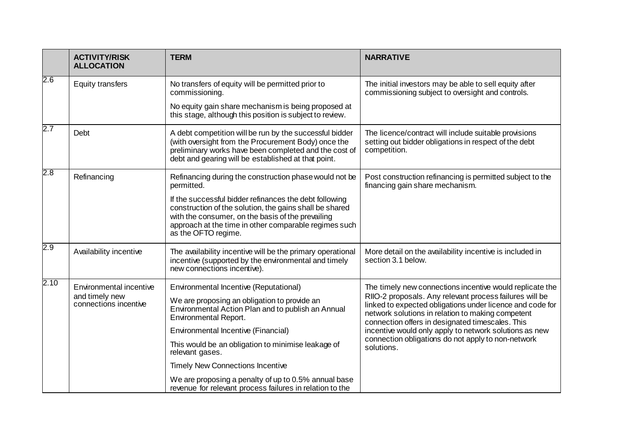|      | <b>ACTIVITY/RISK</b><br><b>ALLOCATION</b> | <b>TERM</b>                                                                                                                                                                                                                                            | <b>NARRATIVE</b>                                                                                                                                                                                                              |
|------|-------------------------------------------|--------------------------------------------------------------------------------------------------------------------------------------------------------------------------------------------------------------------------------------------------------|-------------------------------------------------------------------------------------------------------------------------------------------------------------------------------------------------------------------------------|
| 2.6  | <b>Equity transfers</b>                   | No transfers of equity will be permitted prior to<br>commissioning.                                                                                                                                                                                    | The initial investors may be able to sell equity after<br>commissioning subject to oversight and controls.                                                                                                                    |
|      |                                           | No equity gain share mechanism is being proposed at<br>this stage, although this position is subject to review.                                                                                                                                        |                                                                                                                                                                                                                               |
| 2.7  | <b>Debt</b>                               | A debt competition will be run by the successful bidder<br>(with oversight from the Procurement Body) once the<br>preliminary works have been completed and the cost of<br>debt and gearing will be established at that point.                         | The licence/contract will include suitable provisions<br>setting out bidder obligations in respect of the debt<br>competition.                                                                                                |
| 2.8  | Refinancing                               | Refinancing during the construction phase would not be<br>permitted.                                                                                                                                                                                   | Post construction refinancing is permitted subject to the<br>financing gain share mechanism.                                                                                                                                  |
|      |                                           | If the successful bidder refinances the debt following<br>construction of the solution, the gains shall be shared<br>with the consumer, on the basis of the prevailing<br>approach at the time in other comparable regimes such<br>as the OFTO regime. |                                                                                                                                                                                                                               |
| 2.9  | Availability incentive                    | The availability incentive will be the primary operational<br>incentive (supported by the environmental and timely<br>new connections incentive).                                                                                                      | More detail on the availability incentive is included in<br>section 3.1 below.                                                                                                                                                |
| 2.10 | Environmental incentive                   | Environmental Incentive (Reputational)                                                                                                                                                                                                                 | The timely new connections incentive would replicate the                                                                                                                                                                      |
|      | and timely new<br>connections incentive   | We are proposing an obligation to provide an<br>Environmental Action Plan and to publish an Annual<br><b>Environmental Report.</b>                                                                                                                     | RIIO-2 proposals. Any relevant process failures will be<br>linked to expected obligations under licence and code for<br>network solutions in relation to making competent<br>connection offers in designated timescales. This |
|      |                                           | Environmental Incentive (Financial)                                                                                                                                                                                                                    | incentive would only apply to network solutions as new                                                                                                                                                                        |
|      |                                           | This would be an obligation to minimise leakage of<br>relevant gases.                                                                                                                                                                                  | connection obligations do not apply to non-network<br>solutions.                                                                                                                                                              |
|      |                                           | <b>Timely New Connections Incentive</b>                                                                                                                                                                                                                |                                                                                                                                                                                                                               |
|      |                                           | We are proposing a penalty of up to 0.5% annual base<br>revenue for relevant process failures in relation to the                                                                                                                                       |                                                                                                                                                                                                                               |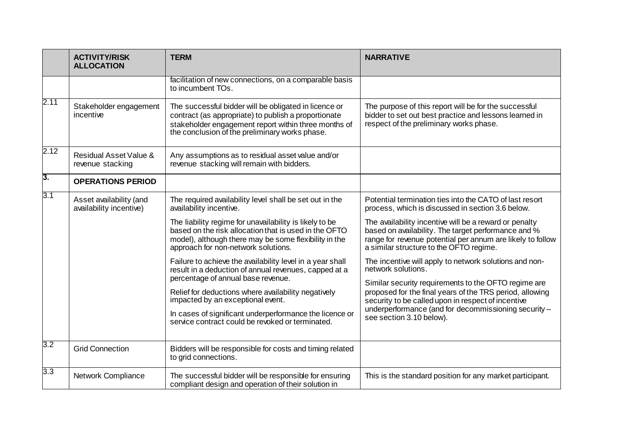|                  | <b>TERM</b><br><b>ACTIVITY/RISK</b><br><b>ALLOCATION</b> |                                                                                                                                                                                                                                                                                                                                                                     | <b>NARRATIVE</b>                                                                                                                                                                                                                                                                                                                           |
|------------------|----------------------------------------------------------|---------------------------------------------------------------------------------------------------------------------------------------------------------------------------------------------------------------------------------------------------------------------------------------------------------------------------------------------------------------------|--------------------------------------------------------------------------------------------------------------------------------------------------------------------------------------------------------------------------------------------------------------------------------------------------------------------------------------------|
|                  |                                                          | facilitation of new connections, on a comparable basis<br>to incumbent TOs.                                                                                                                                                                                                                                                                                         |                                                                                                                                                                                                                                                                                                                                            |
| 2.11             | Stakeholder engagement<br>incentive                      | The successful bidder will be obligated in licence or<br>contract (as appropriate) to publish a proportionate<br>stakeholder engagement report within three months of<br>the conclusion of the preliminary works phase.                                                                                                                                             | The purpose of this report will be for the successful<br>bidder to set out best practice and lessons learned in<br>respect of the preliminary works phase.                                                                                                                                                                                 |
| 2.12             | Residual Asset Value &<br>revenue stacking               | Any assumptions as to residual asset value and/or<br>revenue stacking will remain with bidders.                                                                                                                                                                                                                                                                     |                                                                                                                                                                                                                                                                                                                                            |
| 3.               | <b>OPERATIONS PERIOD</b>                                 |                                                                                                                                                                                                                                                                                                                                                                     |                                                                                                                                                                                                                                                                                                                                            |
| 3.1              | Asset availability (and<br>availability incentive)       | The required availability level shall be set out in the<br>availability incentive.                                                                                                                                                                                                                                                                                  | Potential termination ties into the CATO of last resort<br>process, which is discussed in section 3.6 below.                                                                                                                                                                                                                               |
|                  |                                                          | The liability regime for unavailability is likely to be<br>based on the risk allocation that is used in the OFTO<br>model), although there may be some flexibility in the<br>approach for non-network solutions.                                                                                                                                                    | The availability incentive will be a reward or penalty<br>based on availability. The target performance and %<br>range for revenue potential per annum are likely to follow<br>a similar structure to the OFTO regime.                                                                                                                     |
|                  |                                                          | Failure to achieve the availability level in a year shall<br>result in a deduction of annual revenues, capped at a<br>percentage of annual base revenue.<br>Relief for deductions where availability negatively<br>impacted by an exceptional event.<br>In cases of significant underperformance the licence or<br>service contract could be revoked or terminated. | The incentive will apply to network solutions and non-<br>network solutions.<br>Similar security requirements to the OFTO regime are<br>proposed for the final years of the TRS period, allowing<br>security to be called upon in respect of incentive<br>underperformance (and for decommissioning security -<br>see section 3.10 below). |
| $3.2\,$          |                                                          |                                                                                                                                                                                                                                                                                                                                                                     |                                                                                                                                                                                                                                                                                                                                            |
|                  | <b>Grid Connection</b>                                   | Bidders will be responsible for costs and timing related<br>to grid connections.                                                                                                                                                                                                                                                                                    |                                                                                                                                                                                                                                                                                                                                            |
| $\overline{3.3}$ | <b>Network Compliance</b>                                | The successful bidder will be responsible for ensuring<br>compliant design and operation of their solution in                                                                                                                                                                                                                                                       | This is the standard position for any market participant.                                                                                                                                                                                                                                                                                  |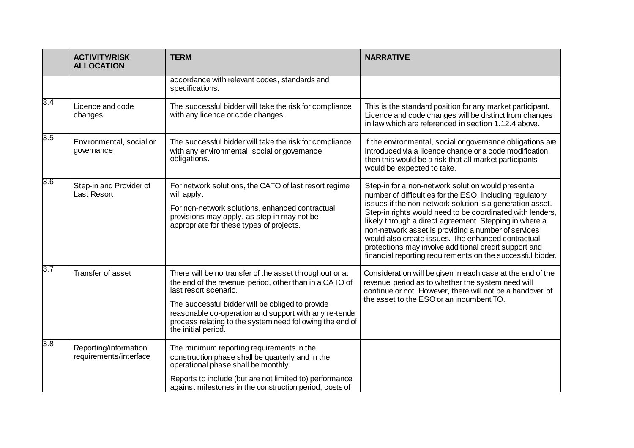|                  | <b>ACTIVITY/RISK</b><br><b>ALLOCATION</b>       | <b>TERM</b>                                                                                                                                                                                                                                                                                                                                 | <b>NARRATIVE</b>                                                                                                                                                                                                                                                                                                                                                                                                                                                                                                                       |
|------------------|-------------------------------------------------|---------------------------------------------------------------------------------------------------------------------------------------------------------------------------------------------------------------------------------------------------------------------------------------------------------------------------------------------|----------------------------------------------------------------------------------------------------------------------------------------------------------------------------------------------------------------------------------------------------------------------------------------------------------------------------------------------------------------------------------------------------------------------------------------------------------------------------------------------------------------------------------------|
|                  |                                                 | accordance with relevant codes, standards and<br>specifications.                                                                                                                                                                                                                                                                            |                                                                                                                                                                                                                                                                                                                                                                                                                                                                                                                                        |
| 3.4              | Licence and code<br>changes                     | The successful bidder will take the risk for compliance<br>with any licence or code changes.                                                                                                                                                                                                                                                | This is the standard position for any market participant.<br>Licence and code changes will be distinct from changes<br>in law which are referenced in section 1.12.4 above.                                                                                                                                                                                                                                                                                                                                                            |
| $\overline{3.5}$ | Environmental, social or<br>governance          | The successful bidder will take the risk for compliance<br>with any environmental, social or governance<br>obligations.                                                                                                                                                                                                                     | If the environmental, social or governance obligations are<br>introduced via a licence change or a code modification,<br>then this would be a risk that all market participants<br>would be expected to take.                                                                                                                                                                                                                                                                                                                          |
| $3.6\,$          | Step-in and Provider of<br><b>Last Resort</b>   | For network solutions, the CATO of last resort regime<br>will apply.<br>For non-network solutions, enhanced contractual<br>provisions may apply, as step-in may not be<br>appropriate for these types of projects.                                                                                                                          | Step-in for a non-network solution would present a<br>number of difficulties for the ESO, including regulatory<br>issues if the non-network solution is a generation asset.<br>Step-in rights would need to be coordinated with lenders,<br>likely through a direct agreement. Stepping in where a<br>non-network asset is providing a number of services<br>would also create issues. The enhanced contractual<br>protections may involve additional credit support and<br>financial reporting requirements on the successful bidder. |
| $3.7\,$          | Transfer of asset                               | There will be no transfer of the asset throughout or at<br>the end of the revenue period, other than in a CATO of<br>last resort scenario.<br>The successful bidder will be obliged to provide<br>reasonable co-operation and support with any re-tender<br>process relating to the system need following the end of<br>the initial period. | Consideration will be given in each case at the end of the<br>revenue period as to whether the system need will<br>continue or not. However, there will not be a handover of<br>the asset to the ESO or an incumbent TO.                                                                                                                                                                                                                                                                                                               |
| $\overline{3.8}$ | Reporting/information<br>requirements/interface | The minimum reporting requirements in the<br>construction phase shall be quarterly and in the<br>operational phase shall be monthly.<br>Reports to include (but are not limited to) performance<br>against milestones in the construction period, costs of                                                                                  |                                                                                                                                                                                                                                                                                                                                                                                                                                                                                                                                        |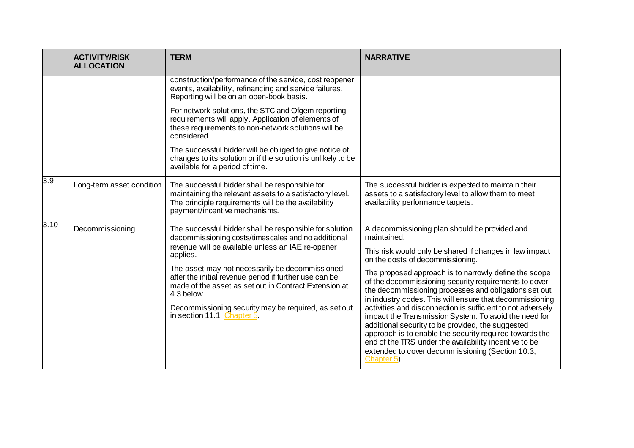|      | <b>ACTIVITY/RISK</b><br><b>ALLOCATION</b> | <b>TERM</b>                                                                                                                                                                                        | <b>NARRATIVE</b>                                                                                                                                                                                                                                                                                                                                                 |
|------|-------------------------------------------|----------------------------------------------------------------------------------------------------------------------------------------------------------------------------------------------------|------------------------------------------------------------------------------------------------------------------------------------------------------------------------------------------------------------------------------------------------------------------------------------------------------------------------------------------------------------------|
|      |                                           | construction/performance of the service, cost reopener<br>events, availability, refinancing and service failures.<br>Reporting will be on an open-book basis.                                      |                                                                                                                                                                                                                                                                                                                                                                  |
|      |                                           | For network solutions, the STC and Ofgem reporting<br>requirements will apply. Application of elements of<br>these requirements to non-network solutions will be<br>considered.                    |                                                                                                                                                                                                                                                                                                                                                                  |
|      |                                           | The successful bidder will be obliged to give notice of<br>changes to its solution or if the solution is unlikely to be<br>available for a period of time.                                         |                                                                                                                                                                                                                                                                                                                                                                  |
| 3.9  | Long-term asset condition                 | The successful bidder shall be responsible for<br>maintaining the relevant assets to a satisfactory level.<br>The principle requirements will be the availability<br>payment/incentive mechanisms. | The successful bidder is expected to maintain their<br>assets to a satisfactory level to allow them to meet<br>availability performance targets.                                                                                                                                                                                                                 |
| 3.10 | Decommissioning                           | The successful bidder shall be responsible for solution<br>decommissioning costs/timescales and no additional<br>revenue will be available unless an IAE re-opener<br>applies.                     | A decommissioning plan should be provided and<br>maintained.                                                                                                                                                                                                                                                                                                     |
|      |                                           |                                                                                                                                                                                                    | This risk would only be shared if changes in law impact<br>on the costs of decommissioning.                                                                                                                                                                                                                                                                      |
|      |                                           | The asset may not necessarily be decommissioned<br>after the initial revenue period if further use can be<br>made of the asset as set out in Contract Extension at<br>4.3 below.                   | The proposed approach is to narrowly define the scope<br>of the decommissioning security requirements to cover<br>the decommissioning processes and obligations set out<br>in industry codes. This will ensure that decommissioning                                                                                                                              |
|      |                                           | Decommissioning security may be required, as set out<br>in section 11.1, Chapter $5$ .                                                                                                             | activities and disconnection is sufficient to not adversely<br>impact the Transmission System. To avoid the need for<br>additional security to be provided, the suggested<br>approach is to enable the security required towards the<br>end of the TRS under the availability incentive to be<br>extended to cover decommissioning (Section 10.3,<br>Chapter 5). |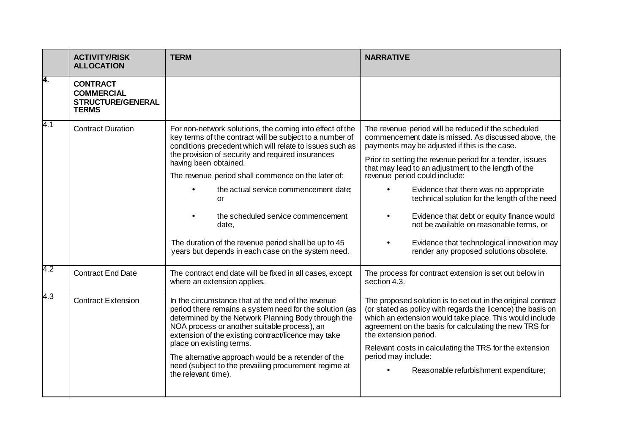|     | <b>ACTIVITY/RISK</b><br><b>ALLOCATION</b>                                        | <b>TERM</b>                                                                                                                                                                                                                                                                                                                                                                                                                                                                                                                      | <b>NARRATIVE</b>                                                                                                                                                                                                                                                                                                                                                                                                                                                                                                                                                                               |
|-----|----------------------------------------------------------------------------------|----------------------------------------------------------------------------------------------------------------------------------------------------------------------------------------------------------------------------------------------------------------------------------------------------------------------------------------------------------------------------------------------------------------------------------------------------------------------------------------------------------------------------------|------------------------------------------------------------------------------------------------------------------------------------------------------------------------------------------------------------------------------------------------------------------------------------------------------------------------------------------------------------------------------------------------------------------------------------------------------------------------------------------------------------------------------------------------------------------------------------------------|
| Ā.  | <b>CONTRACT</b><br><b>COMMERCIAL</b><br><b>STRUCTURE/GENERAL</b><br><b>TERMS</b> |                                                                                                                                                                                                                                                                                                                                                                                                                                                                                                                                  |                                                                                                                                                                                                                                                                                                                                                                                                                                                                                                                                                                                                |
| 4.1 | <b>Contract Duration</b>                                                         | For non-network solutions, the coming into effect of the<br>key terms of the contract will be subject to a number of<br>conditions precedent which will relate to issues such as<br>the provision of security and required insurances<br>having been obtained.<br>The revenue period shall commence on the later of:<br>the actual service commencement date;<br>or<br>the scheduled service commencement<br>date,<br>The duration of the revenue period shall be up to 45<br>years but depends in each case on the system need. | The revenue period will be reduced if the scheduled<br>commencement date is missed. As discussed above, the<br>payments may be adjusted if this is the case.<br>Prior to setting the revenue period for a tender, issues<br>that may lead to an adjustment to the length of the<br>revenue period could include:<br>Evidence that there was no appropriate<br>technical solution for the length of the need<br>Evidence that debt or equity finance would<br>not be available on reasonable terms, or<br>Evidence that technological innovation may<br>render any proposed solutions obsolete. |
| 4.2 | <b>Contract End Date</b>                                                         | The contract end date will be fixed in all cases, except<br>where an extension applies.                                                                                                                                                                                                                                                                                                                                                                                                                                          | The process for contract extension is set out below in<br>section 4.3.                                                                                                                                                                                                                                                                                                                                                                                                                                                                                                                         |
| 4.3 | <b>Contract Extension</b>                                                        | In the circumstance that at the end of the revenue<br>period there remains a system need for the solution (as<br>determined by the Network Planning Body through the<br>NOA process or another suitable process), an<br>extension of the existing contract/licence may take<br>place on existing terms.<br>The alternative approach would be a retender of the<br>need (subject to the prevailing procurement regime at<br>the relevant time).                                                                                   | The proposed solution is to set out in the original contract<br>(or stated as policy with regards the licence) the basis on<br>which an extension would take place. This would include<br>agreement on the basis for calculating the new TRS for<br>the extension period.<br>Relevant costs in calculating the TRS for the extension<br>period may include:<br>Reasonable refurbishment expenditure;                                                                                                                                                                                           |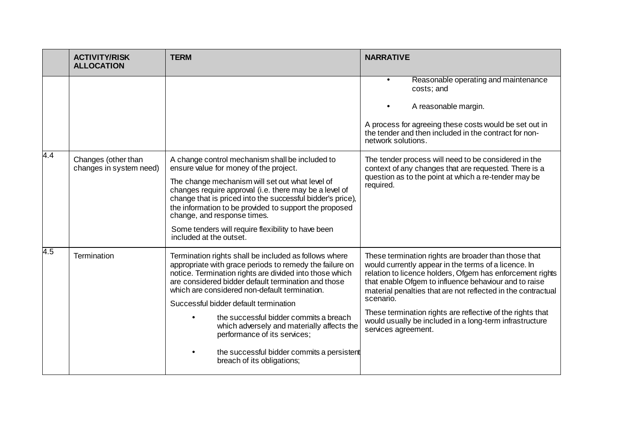|                  | <b>ACTIVITY/RISK</b><br><b>ALLOCATION</b>      | <b>TERM</b>                                                                                                                                                                                                                                                                                                                                                                                                                                                                                                                      | <b>NARRATIVE</b>                                                                                                                                                                                                                                                                                                                                                                                                                                                |
|------------------|------------------------------------------------|----------------------------------------------------------------------------------------------------------------------------------------------------------------------------------------------------------------------------------------------------------------------------------------------------------------------------------------------------------------------------------------------------------------------------------------------------------------------------------------------------------------------------------|-----------------------------------------------------------------------------------------------------------------------------------------------------------------------------------------------------------------------------------------------------------------------------------------------------------------------------------------------------------------------------------------------------------------------------------------------------------------|
|                  |                                                |                                                                                                                                                                                                                                                                                                                                                                                                                                                                                                                                  | Reasonable operating and maintenance<br>costs; and<br>A reasonable margin.<br>A process for agreeing these costs would be set out in<br>the tender and then included in the contract for non-<br>network solutions.                                                                                                                                                                                                                                             |
| $\overline{4.4}$ | Changes (other than<br>changes in system need) | A change control mechanism shall be included to<br>ensure value for money of the project.<br>The change mechanism will set out what level of<br>changes require approval (i.e. there may be a level of<br>change that is priced into the successful bidder's price),<br>the information to be provided to support the proposed<br>change, and response times.<br>Some tenders will require flexibility to have been<br>included at the outset.                                                                                   | The tender process will need to be considered in the<br>context of any changes that are requested. There is a<br>question as to the point at which a re-tender may be<br>required.                                                                                                                                                                                                                                                                              |
| 4.5              | Termination                                    | Termination rights shall be included as follows where<br>appropriate with grace periods to remedy the failure on<br>notice. Termination rights are divided into those which<br>are considered bidder default termination and those<br>which are considered non-default termination.<br>Successful bidder default termination<br>the successful bidder commits a breach<br>which adversely and materially affects the<br>performance of its services;<br>the successful bidder commits a persistent<br>breach of its obligations; | These termination rights are broader than those that<br>would currently appear in the terms of a licence. In<br>relation to licence holders, Ofgem has enforcement rights<br>that enable Ofgem to influence behaviour and to raise<br>material penalties that are not reflected in the contractual<br>scenario.<br>These termination rights are reflective of the rights that<br>would usually be included in a long-term infrastructure<br>services agreement. |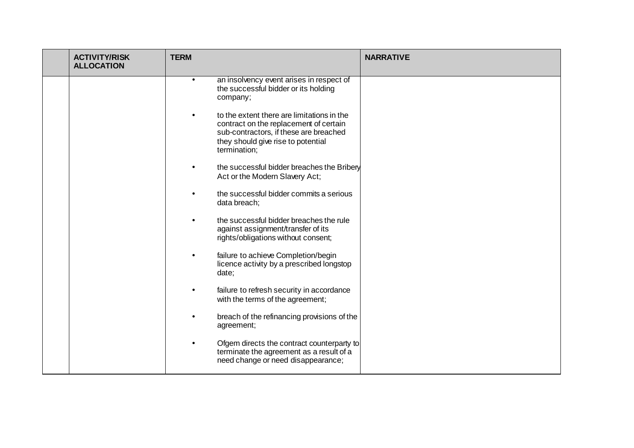| <b>ACTIVITY/RISK</b><br><b>ALLOCATION</b> | <b>TERM</b> |                                                                                                                                                                                      | <b>NARRATIVE</b> |
|-------------------------------------------|-------------|--------------------------------------------------------------------------------------------------------------------------------------------------------------------------------------|------------------|
|                                           | $\bullet$   | an insolvency event arises in respect of<br>the successful bidder or its holding<br>company;                                                                                         |                  |
|                                           | $\bullet$   | to the extent there are limitations in the<br>contract on the replacement of certain<br>sub-contractors, if these are breached<br>they should give rise to potential<br>termination; |                  |
|                                           |             | the successful bidder breaches the Bribery<br>Act or the Modern Slavery Act;                                                                                                         |                  |
|                                           |             | the successful bidder commits a serious<br>data breach;                                                                                                                              |                  |
|                                           |             | the successful bidder breaches the rule<br>against assignment/transfer of its<br>rights/obligations without consent;                                                                 |                  |
|                                           | $\bullet$   | failure to achieve Completion/begin<br>licence activity by a prescribed longstop<br>date;                                                                                            |                  |
|                                           |             | failure to refresh security in accordance<br>with the terms of the agreement;                                                                                                        |                  |
|                                           |             | breach of the refinancing provisions of the<br>agreement;                                                                                                                            |                  |
|                                           |             | Ofgem directs the contract counterparty to<br>terminate the agreement as a result of a<br>need change or need disappearance;                                                         |                  |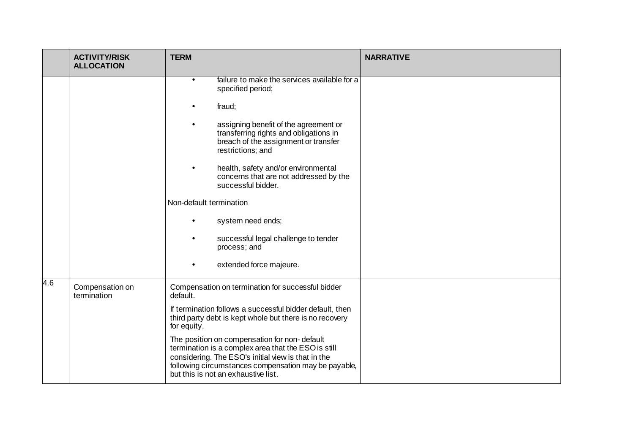|     | <b>ACTIVITY/RISK</b><br><b>ALLOCATION</b> | <b>TERM</b>                                                                                                                                                                                                                                              | <b>NARRATIVE</b> |
|-----|-------------------------------------------|----------------------------------------------------------------------------------------------------------------------------------------------------------------------------------------------------------------------------------------------------------|------------------|
|     |                                           | failure to make the services available for a<br>$\bullet$<br>specified period;<br>fraud;<br>assigning benefit of the agreement or<br>$\bullet$                                                                                                           |                  |
|     |                                           | transferring rights and obligations in<br>breach of the assignment or transfer<br>restrictions; and                                                                                                                                                      |                  |
|     |                                           | health, safety and/or environmental<br>$\bullet$<br>concerns that are not addressed by the<br>successful bidder.                                                                                                                                         |                  |
|     |                                           | Non-default termination                                                                                                                                                                                                                                  |                  |
|     |                                           | system need ends;<br>$\bullet$                                                                                                                                                                                                                           |                  |
|     |                                           | successful legal challenge to tender<br>process; and                                                                                                                                                                                                     |                  |
|     |                                           | extended force majeure.<br>$\bullet$                                                                                                                                                                                                                     |                  |
| 4.6 | Compensation on<br>termination            | Compensation on termination for successful bidder<br>default.                                                                                                                                                                                            |                  |
|     |                                           | If termination follows a successful bidder default, then<br>third party debt is kept whole but there is no recovery<br>for equity.                                                                                                                       |                  |
|     |                                           | The position on compensation for non-default<br>termination is a complex area that the ESO is still<br>considering. The ESO's initial view is that in the<br>following circumstances compensation may be payable,<br>but this is not an exhaustive list. |                  |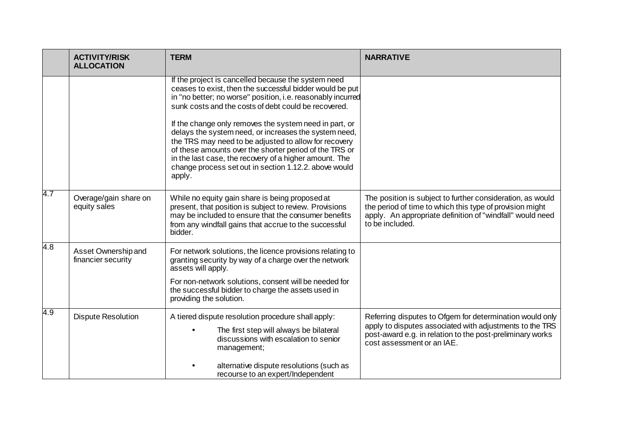|     | <b>ACTIVITY/RISK</b><br><b>ALLOCATION</b> | <b>TERM</b>                                                                                                                                                                                                                                                                                                                                                                                                                                                                                                                                                                                               | <b>NARRATIVE</b>                                                                                                                                                                                                |
|-----|-------------------------------------------|-----------------------------------------------------------------------------------------------------------------------------------------------------------------------------------------------------------------------------------------------------------------------------------------------------------------------------------------------------------------------------------------------------------------------------------------------------------------------------------------------------------------------------------------------------------------------------------------------------------|-----------------------------------------------------------------------------------------------------------------------------------------------------------------------------------------------------------------|
|     |                                           | If the project is cancelled because the system need<br>ceases to exist, then the successful bidder would be put<br>in "no better; no worse" position, i.e. reasonably incurred<br>sunk costs and the costs of debt could be recovered.<br>If the change only removes the system need in part, or<br>delays the system need, or increases the system need,<br>the TRS may need to be adjusted to allow for recovery<br>of these amounts over the shorter period of the TRS or<br>in the last case, the recovery of a higher amount. The<br>change process set out in section 1.12.2. above would<br>apply. |                                                                                                                                                                                                                 |
| 4.7 | Overage/gain share on<br>equity sales     | While no equity gain share is being proposed at<br>present, that position is subject to review. Provisions<br>may be included to ensure that the consumer benefits<br>from any windfall gains that accrue to the successful<br>bidder.                                                                                                                                                                                                                                                                                                                                                                    | The position is subject to further consideration, as would<br>the period of time to which this type of provision might<br>apply. An appropriate definition of "windfall" would need<br>to be included.          |
| 4.8 | Asset Ownership and<br>financier security | For network solutions, the licence provisions relating to<br>granting security by way of a charge over the network<br>assets will apply.<br>For non-network solutions, consent will be needed for<br>the successful bidder to charge the assets used in<br>providing the solution.                                                                                                                                                                                                                                                                                                                        |                                                                                                                                                                                                                 |
| 4.9 | <b>Dispute Resolution</b>                 | A tiered dispute resolution procedure shall apply:<br>The first step will always be bilateral<br>discussions with escalation to senior<br>management;<br>alternative dispute resolutions (such as<br>recourse to an expert/Independent                                                                                                                                                                                                                                                                                                                                                                    | Referring disputes to Ofgem for determination would only<br>apply to disputes associated with adjustments to the TRS<br>post-award e.g. in relation to the post-preliminary works<br>cost assessment or an IAE. |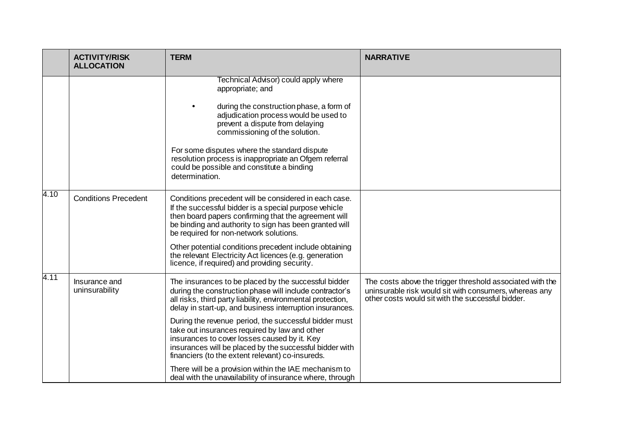|      | <b>TERM</b><br><b>ACTIVITY/RISK</b><br><b>ALLOCATION</b> |                                                                                                                                                                                                                                                                                                                                                                                                                                                                                                                     | <b>NARRATIVE</b>                                                                                                                                                         |
|------|----------------------------------------------------------|---------------------------------------------------------------------------------------------------------------------------------------------------------------------------------------------------------------------------------------------------------------------------------------------------------------------------------------------------------------------------------------------------------------------------------------------------------------------------------------------------------------------|--------------------------------------------------------------------------------------------------------------------------------------------------------------------------|
|      |                                                          | Technical Advisor) could apply where<br>appropriate; and<br>during the construction phase, a form of<br>adjudication process would be used to<br>prevent a dispute from delaying<br>commissioning of the solution.<br>For some disputes where the standard dispute<br>resolution process is inappropriate an Ofgem referral<br>could be possible and constitute a binding<br>determination.                                                                                                                         |                                                                                                                                                                          |
| 4.10 | <b>Conditions Precedent</b>                              | Conditions precedent will be considered in each case.<br>If the successful bidder is a special purpose vehicle<br>then board papers confirming that the agreement will<br>be binding and authority to sign has been granted will<br>be required for non-network solutions.<br>Other potential conditions precedent include obtaining<br>the relevant Electricity Act licences (e.g. generation<br>licence, if required) and providing security.                                                                     |                                                                                                                                                                          |
| 4.11 | Insurance and<br>uninsurability                          | The insurances to be placed by the successful bidder<br>during the construction phase will include contractor's<br>all risks, third party liability, environmental protection,<br>delay in start-up, and business interruption insurances.<br>During the revenue period, the successful bidder must<br>take out insurances required by law and other<br>insurances to cover losses caused by it. Key<br>insurances will be placed by the successful bidder with<br>financiers (to the extent relevant) co-insureds. | The costs above the trigger threshold associated with the<br>uninsurable risk would sit with consumers, whereas any<br>other costs would sit with the successful bidder. |
|      |                                                          | There will be a provision within the IAE mechanism to<br>deal with the unavailability of insurance where, through                                                                                                                                                                                                                                                                                                                                                                                                   |                                                                                                                                                                          |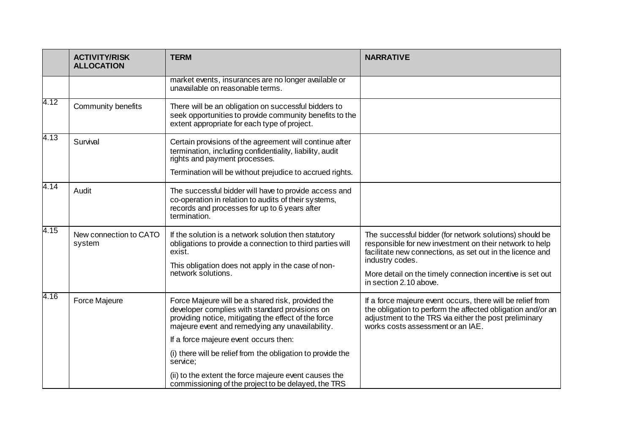|      | <b>ACTIVITY/RISK</b><br><b>ALLOCATION</b> | <b>TERM</b>                                                                                                                                                                                                      | <b>NARRATIVE</b>                                                                                                                                                                                                        |
|------|-------------------------------------------|------------------------------------------------------------------------------------------------------------------------------------------------------------------------------------------------------------------|-------------------------------------------------------------------------------------------------------------------------------------------------------------------------------------------------------------------------|
|      |                                           | market events, insurances are no longer available or<br>unavailable on reasonable terms.                                                                                                                         |                                                                                                                                                                                                                         |
| 4.12 | Community benefits                        | There will be an obligation on successful bidders to<br>seek opportunities to provide community benefits to the<br>extent appropriate for each type of project.                                                  |                                                                                                                                                                                                                         |
| 4.13 | Survival                                  | Certain provisions of the agreement will continue after<br>termination, including confidentiality, liability, audit<br>rights and payment processes.<br>Termination will be without prejudice to accrued rights. |                                                                                                                                                                                                                         |
| 4.14 | Audit                                     | The successful bidder will have to provide access and<br>co-operation in relation to audits of their systems,<br>records and processes for up to 6 years after<br>termination.                                   |                                                                                                                                                                                                                         |
| 4.15 | New connection to CATO<br>system          | If the solution is a network solution then statutory<br>obligations to provide a connection to third parties will<br>exist.<br>This obligation does not apply in the case of non-                                | The successful bidder (for network solutions) should be<br>responsible for new investment on their network to help<br>facilitate new connections, as set out in the licence and<br>industry codes.                      |
|      |                                           | network solutions.                                                                                                                                                                                               | More detail on the timely connection incentive is set out<br>in section 2.10 above.                                                                                                                                     |
| 4.16 | Force Majeure                             | Force Majeure will be a shared risk, provided the<br>developer complies with standard provisions on<br>providing notice, mitigating the effect of the force<br>majeure event and remedying any unavailability.   | If a force majeure event occurs, there will be relief from<br>the obligation to perform the affected obligation and/or an<br>adjustment to the TRS via either the post preliminary<br>works costs assessment or an IAE. |
|      |                                           | If a force majeure event occurs then:                                                                                                                                                                            |                                                                                                                                                                                                                         |
|      |                                           | (i) there will be relief from the obligation to provide the<br>service;                                                                                                                                          |                                                                                                                                                                                                                         |
|      |                                           | (ii) to the extent the force majeure event causes the<br>commissioning of the project to be delayed, the TRS                                                                                                     |                                                                                                                                                                                                                         |